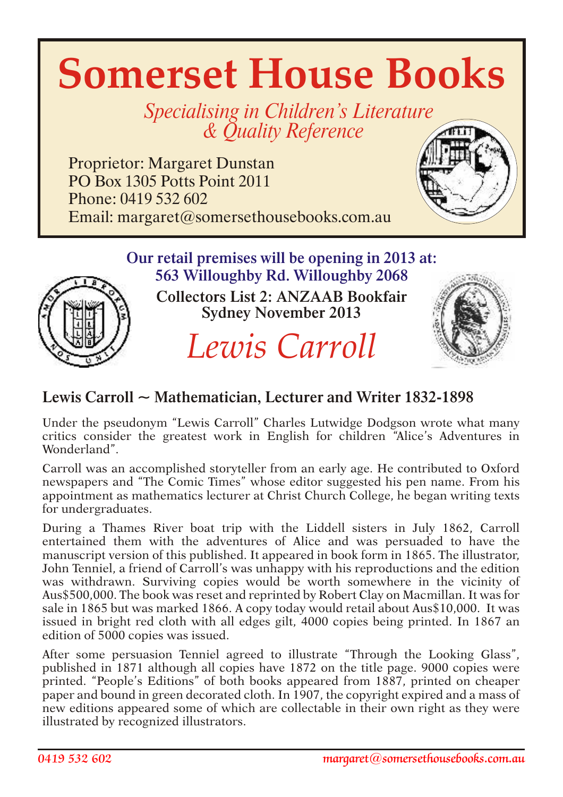# **Somerset House Books**

Specialising in Children's Literature & *Quality Reference* 

Proprietor: Margaret Dunstan PO Box 1305 Potts Point 2011 Phone: 0419 532 602 Email: margaret@somersethousebooks.com.au



# Our retail premises will be opening in 2013 at: 563 Willoughby Rd. Willoughby 2068



Collectors List 2: ANZAAB Bookfair Sydney November 2013

*Lewis Carroll*



# Lewis Carroll ~ Mathematician, Lecturer and Writer 1832-1898

Under the pseudonym "Lewis Carroll" Charles Lutwidge Dodgson wrote what many critics consider the greatest work in English for children "Alice's Adventures in Wonderland".

Carroll was an accomplished storyteller from an early age. He contributed to Oxford newspapers and "The Comic Times" whose editor suggested his pen name. From his appointment as mathematics lecturer at Christ Church College, he began writing texts for undergraduates.

During a Thames River boat trip with the Liddell sisters in July 1862, Carroll entertained them with the adventures of Alice and was persuaded to have the manuscript version of this published. It appeared in book form in 1865. The illustrator, John Tenniel, a friend of Carroll's was unhappy with his reproductions and the edition was withdrawn. Surviving copies would be worth somewhere in the vicinity of Aus\$500,000. The book was reset and reprinted by Robert Clay on Macmillan. It was for sale in 1865 but was marked 1866. A copy today would retail about Aus\$10,000. It was issued in bright red cloth with all edges gilt, 4000 copies being printed. In 1867 an edition of 5000 copies was issued.

After some persuasion Tenniel agreed to illustrate "Through the Looking Glass", published in 1871 although all copies have 1872 on the title page. 9000 copies were printed. "People's Editions" of both books appeared from 1887, printed on cheaper paper and bound in green decorated cloth. In 1907, the copyright expired and a mass of new editions appeared some of which are collectable in their own right as they were illustrated by recognized illustrators.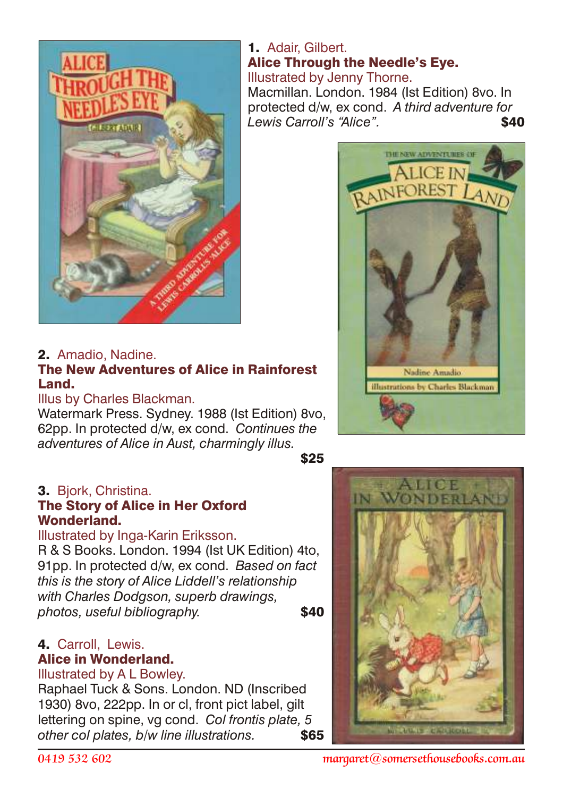

## 2. Amadio, Nadine.

## The New Adventures of Alice in Rainforest Land.

#### Illus by Charles Blackman.

Watermark Press. Sydney. 1988 (Ist Edition) 8vo, 62pp. In protected d/w, ex cond. *Continues the adventures of Alice in Aust, charmingly illus.*

 $$25$ 

## 3. Bjork, Christina.

#### The Story of Alice in Her Oxford Wonderland.

#### Illustrated by Inga-Karin Eriksson.

R & S Books. London. 1994 (Ist UK Edition) 4to, 91pp. In protected d/w, ex cond. *Based on fact this is the story of Alice Liddell's relationship with Charles Dodgson, superb drawings, photos, useful bibliography.* **\$40** 

# 4. Carroll, Lewis.

# Alice in Wonderland.

#### Illustrated by A L Bowley.

Raphael Tuck & Sons. London. ND (Inscribed 1930) 8vo, 222pp. In or cl, front pict label, gilt lettering on spine, vg cond. *Col frontis plate, 5 other col plates, b/w line illustrations.* \$65

## 1. Adair, Gilbert. Alice Through the Needle's Eye. Illustrated by Jenny Thorne.

Macmillan. London. 1984 (Ist Edition) 8vo. In protected d/w, ex cond. *A third adventure for Lewis Carroll's "Alice"* \$40





*0419 532 602 margaret@somersethousebooks.com.au*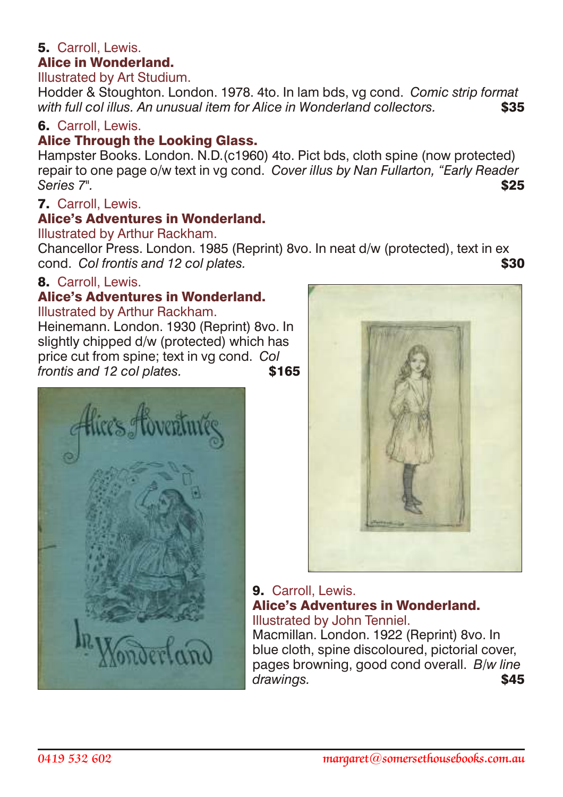#### 5. Carroll, Lewis. Alice in Wonderland.

# Illustrated by Art Studium.

Hodder & Stoughton. London. 1978. 4to. In lam bds, vg cond. *Comic strip format with full col illus. An unusual item for Alice in Wonderland collectors.* \$35

#### 6. Carroll, Lewis.

#### Alice Through the Looking Glass.

Hampster Books. London. N.D.(c1960) 4to. Pict bds, cloth spine (now protected) repair to one page o/w text in vg cond. *Cover illus by Nan Fullarton, "Early Reader Series 7".* \$25

#### 7. Carroll, Lewis.

#### Alice's Adventures in Wonderland.

#### Illustrated by Arthur Rackham.

Chancellor Press. London. 1985 (Reprint) 8vo. In neat d/w (protected), text in ex cond. *Col frontis and 12 col plates.*  $\bullet$  **\$30** 

## 8. Carroll, Lewis.

# Alice's Adventures in Wonderland.

Illustrated by Arthur Rackham.

Heinemann. London. 1930 (Reprint) 8vo. In slightly chipped d/w (protected) which has price cut from spine; text in vg cond. *Col frontis and 12 col plates.* \$165





#### 9. Carroll, Lewis. Alice's Adventures in Wonderland. Illustrated by John Tenniel.

Macmillan. London. 1922 (Reprint) 8vo. In blue cloth, spine discoloured, pictorial cover, pages browning, good cond overall. *B/w line* drawings. **\$45**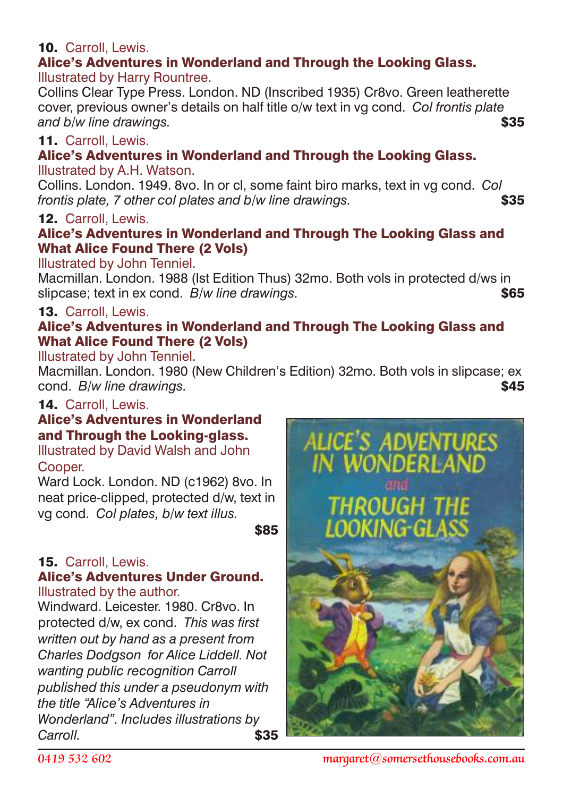## 10. Carroll, Lewis.

#### Alice's Adventures in Wonderland and Through the Looking Glass. Illustrated by Harry Rountree.

Collins Clear Type Press. London. ND (Inscribed 1935) Cr8vo. Green leatherette cover, previous owner's details on half title o/w text in vg cond. *Col frontis plate* and b/w line drawings.

## 11. Carroll, Lewis.

# Alice's Adventures in Wonderland and Through the Looking Glass.

#### Illustrated by A.H. Watson.

Collins. London. 1949. 8vo. In or cl, some faint biro marks, text in vg cond. *Col frontis plate, 7 other col plates and b/w line drawings.*  $$35$ 

## 12. Carroll, Lewis.

#### Alice's Adventures in Wonderland and Through The Looking Glass and What Alice Found There (2 Vols)

#### Illustrated by John Tenniel.

Macmillan. London. 1988 (Ist Edition Thus) 32mo. Both vols in protected d/ws in slipcase; text in ex cond. *B/w line drawings.*  $$65$ 

#### 13. Carroll, Lewis.

## Alice's Adventures in Wonderland and Through The Looking Glass and What Alice Found There (2 Vols)

Illustrated by John Tenniel.

Macmillan. London. 1980 (New Children's Edition) 32mo. Both vols in slipcase; ex cond. *B/w line drawings.*  $\bullet$  **\$45** 

## 14. Carroll, Lewis.

## Alice's Adventures in Wonderland and Through the Looking-glass.

#### Illustrated by David Walsh and John Cooper.

Ward Lock. London. ND (c1962) 8vo. In neat price-clipped, protected d/w, text in vg cond. *Col plates, b/w text illus.*

<u>\$85 million and the second second second second second second second second second second second second second</u>

# 15. Carroll, Lewis.

#### Alice's Adventures Under Ground. Illustrated by the author.

Windward. Leicester. 1980. Cr8vo. In protected d/w, ex cond. *This was first written out by hand as a present from Charles Dodgson for Alice Liddell. Not wanting public recognition Carroll published this under a pseudonym with the title "Alice's Adventures in Wonderland". Includes illustrations by Carroll.* \$35

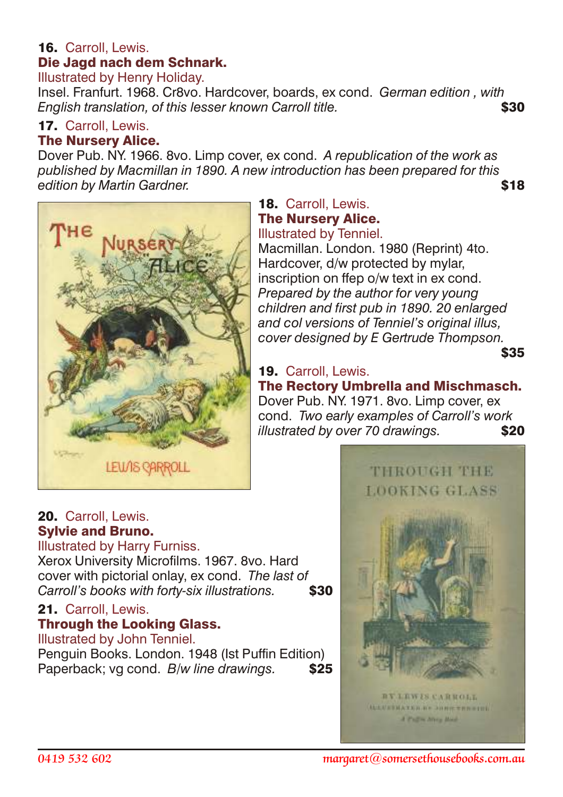# 16. Carroll, Lewis. Die Jagd nach dem Schnark.

Illustrated by Henry Holiday.

Insel. Franfurt. 1968. Cr8vo. Hardcover, boards, ex cond. *German edition , with English translation, of this lesser known Carroll title.* $\bullet$  **\$30** 

## 17. Carroll, Lewis.

# The Nursery Alice.

Dover Pub. NY. 1966. 8vo. Limp cover, ex cond. *A republication of the work as published by Macmillan in 1890. A new introduction has been prepared for this edition by Martin Gardner.*  $\bullet$  **\$18** 



# 18. Carroll, Lewis. The Nursery Alice.

Illustrated by Tenniel. Macmillan. London. 1980 (Reprint) 4to. Hardcover, d/w protected by mylar, inscription on ffep o/w text in ex cond. *Prepared by the author for very young children and first pub in 1890. 20 enlarged and col versions of Tenniel's original illus, cover designed by E Gertrude Thompson.*

 $$35$ 

# 19. Carroll, Lewis.

The Rectory Umbrella and Mischmasch. Dover Pub. NY. 1971. 8vo. Limp cover, ex cond. *Two early examples of Carroll's work illustrated by over 70 drawings.* \$20



# 20. Carroll, Lewis. Sylvie and Bruno.

Illustrated by Harry Furniss.

Xerox University Microfilms. 1967. 8vo. Hard cover with pictorial onlay, ex cond. *The last of Carroll's books with forty-six illustrations.* **\$30** 

#### 21. Carroll, Lewis.

## Through the Looking Glass.

Illustrated by John Tenniel.

Penguin Books. London. 1948 (Ist Puffin Edition) Paperback; vg cond. *B/w line drawings.* \$25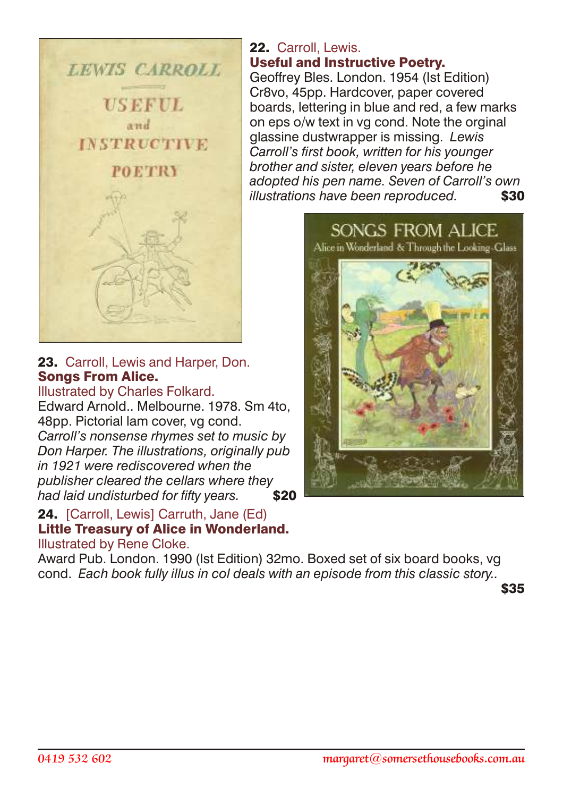

23. Carroll, Lewis and Harper, Don. Songs From Alice.

Illustrated by Charles Folkard. Edward Arnold.. Melbourne. 1978. Sm 4to, 48pp. Pictorial lam cover, vg cond. *Carroll's nonsense rhymes set to music by Don Harper. The illustrations, originally pub in 1921 were rediscovered when the publisher cleared the cellars where they had laid undisturbed for fifty years.* 

#### 24. [Carroll, Lewis] Carruth, Jane (Ed) Little Treasury of Alice in Wonderland. Illustrated by Rene Cloke.

Award Pub. London. 1990 (Ist Edition) 32mo. Boxed set of six board books, vg cond. *Each book fully illus in col deals with an episode from this classic story..*

\$35

#### 22. Carroll, Lewis. Useful and Instructive Poetry.

Geoffrey Bles. London. 1954 (Ist Edition) Cr8vo, 45pp. Hardcover, paper covered boards, lettering in blue and red, a few marks on eps o/w text in vg cond. Note the orginal glassine dustwrapper is missing. *Lewis Carroll's first book, written for his younger brother and sister, eleven years before he adopted his pen name. Seven of Carroll's own illustrations have been reproduced.* \$30

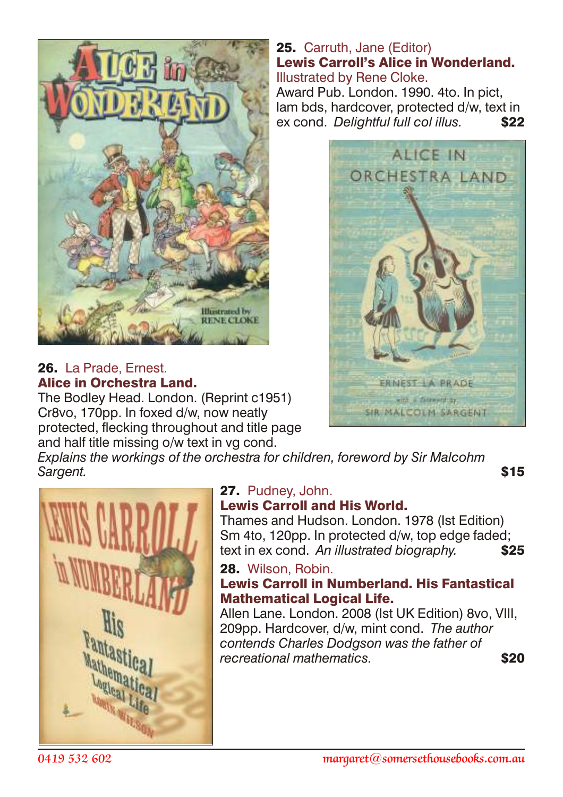

#### 26. La Prade, Ernest. Alice in Orchestra Land.

The Bodley Head. London. (Reprint c1951) Cr8vo, 170pp. In foxed d/w, now neatly protected, flecking throughout and title page and half title missing o/w text in vg cond.

#### 25. Carruth, Jane (Editor) Lewis Carroll's Alice in Wonderland. Illustrated by Rene Cloke.

Award Pub. London. 1990. 4to. In pict, lam bds, hardcover, protected d/w, text in ex cond. *Delightful full col illus.* \$22



*Explains the workings of the orchestra for children, foreword by Sir Malcohm* **Sargent.** \$15



#### 27. Pudney, John. Lewis Carroll and His World.

Thames and Hudson. London. 1978 (Ist Edition) Sm 4to, 120pp. In protected d/w, top edge faded; text in ex cond. An illustrated biography. **\$25** 

28. Wilson, Robin.

#### Lewis Carroll in Numberland. His Fantastical Mathematical Logical Life.

Allen Lane. London. 2008 (Ist UK Edition) 8vo, VIII, 209pp. Hardcover, d/w, mint cond. *The author contends Charles Dodgson was the father of recreational mathematics.*  $\bullet$  **\$20**